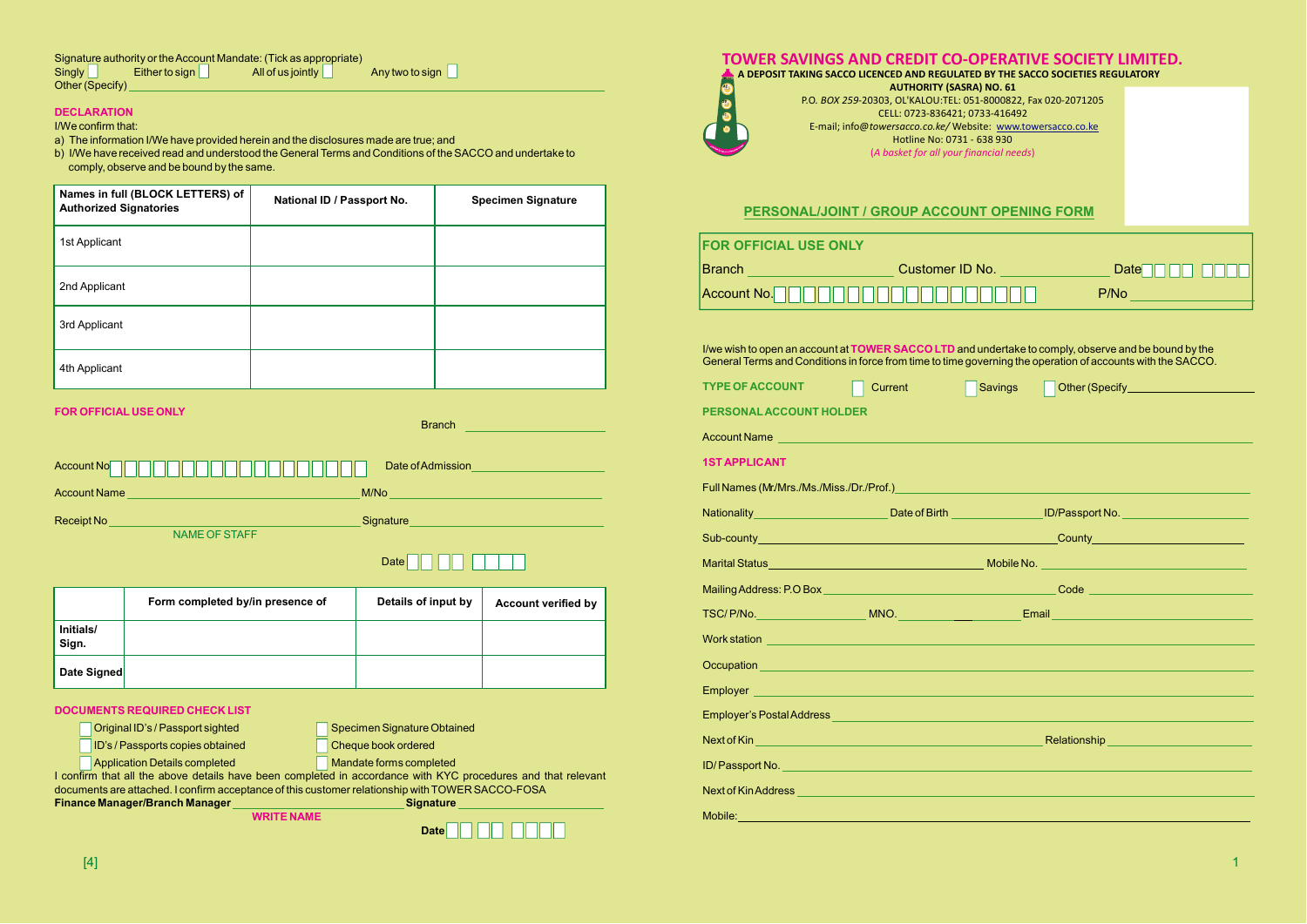| Names in full (BLOCK LETTERS) of<br><b>Authorized Signatories</b> | National ID / Passport No. | <b>Specimen Signature</b> |
|-------------------------------------------------------------------|----------------------------|---------------------------|
| 1st Applicant                                                     |                            |                           |
| 2nd Applicant                                                     |                            |                           |
| 3rd Applicant                                                     |                            |                           |
| 4th Applicant                                                     |                            |                           |

|                    | Form completed by/in presence of | Details of input by | <b>Account verified by</b> |
|--------------------|----------------------------------|---------------------|----------------------------|
| Initials/<br>Sign. |                                  |                     |                            |
| Date Signed        |                                  |                     |                            |

#### **DECLARATION**

# I/We confirm that:

a) The information I/We have provided herein and the disclosures made are true; and

b) I/We have received read and understood the General Terms and Conditions of the SACCO and undertake to comply, observe and be bound by the same.



| <b>DOCUMENTS REQUIRED CHECK LIST</b>                                                                         |                             |  |  |
|--------------------------------------------------------------------------------------------------------------|-----------------------------|--|--|
| Original ID's / Passport sighted                                                                             | Specimen Signature Obtained |  |  |
| ID's / Passports copies obtained                                                                             | Cheque book ordered         |  |  |
| <b>Application Details completed</b>                                                                         | Mandate forms completed     |  |  |
| I confirm that all the above details have been completed in accordance with KYC procedures and that relevant |                             |  |  |
| documents are attached. I confirm acceptance of this customer relationship with TOWER SACCO-FOSA             |                             |  |  |
| <b>Finance Manager/Branch Manager</b><br><b>Signature</b>                                                    |                             |  |  |
| <b>WRITE NAME</b>                                                                                            |                             |  |  |
|                                                                                                              | Date                        |  |  |

### **FOR OFFICIAL USE ONLY**

| <b>P/Note</b> that the state of the state of the state of the state of the state of the state of the state of the state of the state of the state of the state of the state of the state of the state of the state of the state of |
|------------------------------------------------------------------------------------------------------------------------------------------------------------------------------------------------------------------------------------|
|                                                                                                                                                                                                                                    |
| I/we wish to open an account at TOWER SACCO LTD and undertake to comply, observe and be bound by the<br>General Terms and Conditions in force from time to time governing the operation of accounts with the SACCO.                |
| Other (Specify_______________________                                                                                                                                                                                              |
|                                                                                                                                                                                                                                    |
|                                                                                                                                                                                                                                    |
|                                                                                                                                                                                                                                    |
| Full Names (Mr/Mrs./Ms./Miss./Dr./Prof.)<br>University of the contract of the contract of the contract of the contract of the contract of the contract of                                                                          |
| <b>ID/Passport No. Contract Contract Contract Contract Contract Contract Contract Contract Contract Contract Contract Contract Contract Contract Contract Contract Contract Contract Contract Contract Contract Contract Contr</b> |
|                                                                                                                                                                                                                                    |
|                                                                                                                                                                                                                                    |
|                                                                                                                                                                                                                                    |
|                                                                                                                                                                                                                                    |
|                                                                                                                                                                                                                                    |
|                                                                                                                                                                                                                                    |
| Occupation <u>Production and Community and Community and Community and Community and Community and Community and</u>                                                                                                               |
| Employer <u>and the company of the company of the company of the company of the company of the company of the company</u>                                                                                                          |
| Employer's Postal Address Party of the Contract of the Contract of the Contract of the Contract of the Contract of the Contract of the Contract of the Contract of the Contract of the Contract of the Contract of the Contrac     |
|                                                                                                                                                                                                                                    |
|                                                                                                                                                                                                                                    |
| Next of Kin Address <b>with the community of the community of the community of the community of the community of th</b>                                                                                                            |
|                                                                                                                                                                                                                                    |

| TOWER SAVINGS AND CREDIT CO-OPERATIVE SOCIETY LIMITED.<br>A DEPOSIT TAKING SACCO LICENCED AND REGULATED BY THE SACCO SOCIETIES REGULATORY                                                                                      |                                                                                                   |                |        |                                                                                                                                                                                                                                      |
|--------------------------------------------------------------------------------------------------------------------------------------------------------------------------------------------------------------------------------|---------------------------------------------------------------------------------------------------|----------------|--------|--------------------------------------------------------------------------------------------------------------------------------------------------------------------------------------------------------------------------------------|
|                                                                                                                                                                                                                                | <b>AUTHORITY (SASRA) NO. 61</b><br>P.O. BOX 259-20303, OL'KALOU:TEL: 051-8000822, Fax 020-2071205 |                |        |                                                                                                                                                                                                                                      |
|                                                                                                                                                                                                                                | CELL: 0723-836421; 0733-416492<br>E-mail; info@towersacco.co.ke/ Website: www.towersacco.co.ke    |                |        |                                                                                                                                                                                                                                      |
|                                                                                                                                                                                                                                | Hotline No: 0731 - 638 930                                                                        |                |        |                                                                                                                                                                                                                                      |
|                                                                                                                                                                                                                                | (A basket for all your financial needs)                                                           |                |        |                                                                                                                                                                                                                                      |
|                                                                                                                                                                                                                                |                                                                                                   |                |        |                                                                                                                                                                                                                                      |
|                                                                                                                                                                                                                                | <b>PERSONAL/JOINT / GROUP ACCOUNT OPENING FORM</b>                                                |                |        |                                                                                                                                                                                                                                      |
| <b>FOR OFFICIAL USE ONLY</b>                                                                                                                                                                                                   |                                                                                                   |                |        |                                                                                                                                                                                                                                      |
| Branch <b>CONFIDENCE CONSUMER</b> CUSTOMER ID No. <b>CONFIDENCE CONSUMER</b>                                                                                                                                                   |                                                                                                   |                |        |                                                                                                                                                                                                                                      |
| Account No. $\parallel \parallel \parallel \parallel \parallel$                                                                                                                                                                |                                                                                                   |                |        | P/Note that the control of the control of the control of the control of the control of the control of the control of the control of the control of the control of the control of the control of the control of the control of        |
|                                                                                                                                                                                                                                |                                                                                                   |                |        |                                                                                                                                                                                                                                      |
| I/we wish to open an account at TOWER SACCO LTD and undertake to comply, observe and be bound by the<br>General Terms and Conditions in force from time to time governing the operation of accounts with the SACCO.            |                                                                                                   |                |        |                                                                                                                                                                                                                                      |
| <b>TYPE OF ACCOUNT</b>                                                                                                                                                                                                         | Current                                                                                           | <b>Savings</b> |        | Other (Specify_______________________                                                                                                                                                                                                |
| <b>PERSONAL ACCOUNT HOLDER</b>                                                                                                                                                                                                 |                                                                                                   |                |        |                                                                                                                                                                                                                                      |
| Account Name <b>Account Name</b>                                                                                                                                                                                               |                                                                                                   |                |        |                                                                                                                                                                                                                                      |
| <b>1ST APPLICANT</b>                                                                                                                                                                                                           |                                                                                                   |                |        |                                                                                                                                                                                                                                      |
|                                                                                                                                                                                                                                |                                                                                                   |                |        |                                                                                                                                                                                                                                      |
| Nationality                                                                                                                                                                                                                    |                                                                                                   |                |        | Date of Birth <b>Contract Contract Contract Contract Contract Contract Contract Contract Contract Contract Contract Contract Contract Contract Contract Contract Contract Contract Contract Contract Contract Contract Contract </b> |
| Sub-county                                                                                                                                                                                                                     |                                                                                                   |                | County |                                                                                                                                                                                                                                      |
|                                                                                                                                                                                                                                |                                                                                                   |                |        |                                                                                                                                                                                                                                      |
|                                                                                                                                                                                                                                |                                                                                                   |                |        |                                                                                                                                                                                                                                      |
|                                                                                                                                                                                                                                |                                                                                                   |                |        |                                                                                                                                                                                                                                      |
|                                                                                                                                                                                                                                |                                                                                                   |                |        |                                                                                                                                                                                                                                      |
|                                                                                                                                                                                                                                |                                                                                                   |                |        |                                                                                                                                                                                                                                      |
|                                                                                                                                                                                                                                |                                                                                                   |                |        |                                                                                                                                                                                                                                      |
| Employer's Postal Address Party of the Contract of the Contract of the Contract of the Contract of the Contract of the Contract of the Contract of the Contract of the Contract of the Contract of the Contract of the Contrac |                                                                                                   |                |        |                                                                                                                                                                                                                                      |
|                                                                                                                                                                                                                                |                                                                                                   |                |        |                                                                                                                                                                                                                                      |
|                                                                                                                                                                                                                                |                                                                                                   |                |        |                                                                                                                                                                                                                                      |
| Next of Kin Address <b>with a community of the Construction Construction and Construction Construction</b>                                                                                                                     |                                                                                                   |                |        |                                                                                                                                                                                                                                      |
|                                                                                                                                                                                                                                |                                                                                                   |                |        | Mobile: And the contract of the contract of the contract of the contract of the contract of the contract of the                                                                                                                      |

|                                                                                  | TOWER SAVINGS AND CREDIT CO-OPERATIVE SOCIETY LIMITED.<br>A DEPOSIT TAKING SACCO LICENCED AND REGULATED BY THE SACCO SOCIETIES REGULATORY                                                                    |         |        |                                                                     |
|----------------------------------------------------------------------------------|--------------------------------------------------------------------------------------------------------------------------------------------------------------------------------------------------------------|---------|--------|---------------------------------------------------------------------|
| $\bullet$                                                                        | <b>AUTHORITY (SASRA) NO. 61</b><br>P.O. BOX 259-20303, OL'KALOU:TEL: 051-8000822, Fax 020-2071205                                                                                                            |         |        |                                                                     |
|                                                                                  | CELL: 0723-836421; 0733-416492                                                                                                                                                                               |         |        |                                                                     |
|                                                                                  | E-mail; info@towersacco.co.ke/ Website: www.towersacco.co.ke<br>Hotline No: 0731 - 638 930                                                                                                                   |         |        |                                                                     |
|                                                                                  | (A basket for all your financial needs)                                                                                                                                                                      |         |        |                                                                     |
|                                                                                  |                                                                                                                                                                                                              |         |        |                                                                     |
|                                                                                  | <b>PERSONAL/JOINT / GROUP ACCOUNT OPENING FORM</b>                                                                                                                                                           |         |        |                                                                     |
| <b>R OFFICIAL USE ONLY</b>                                                       |                                                                                                                                                                                                              |         |        |                                                                     |
|                                                                                  | inch ____________________________Customer ID No. _____________________ Date <mark>l</mark>                                                                                                                   |         |        |                                                                     |
| $\mathsf{count}\,\mathsf{No.} \parallel \parallel \parallel \parallel \parallel$ |                                                                                                                                                                                                              |         | P/No   |                                                                     |
|                                                                                  |                                                                                                                                                                                                              |         |        |                                                                     |
|                                                                                  | wish to open an account at TOWER SACCO LTD and undertake to comply, observe and be bound by the<br>ieral Terms and Conditions in force from time to time governing the operation of accounts with the SACCO. |         |        |                                                                     |
| <b>E OF ACCOUNT</b>                                                              | Current                                                                                                                                                                                                      | Savings |        | Other (Specify_____________________                                 |
| <b>RSONAL ACCOUNT HOLDER</b>                                                     |                                                                                                                                                                                                              |         |        |                                                                     |
| ount Name                                                                        | $\mathcal{L}^{\text{max}}_{\text{max}}$ and $\mathcal{L}^{\text{max}}_{\text{max}}$ and $\mathcal{L}^{\text{max}}_{\text{max}}$                                                                              |         |        |                                                                     |
| <b>APPLICANT</b>                                                                 |                                                                                                                                                                                                              |         |        |                                                                     |
|                                                                                  | Names (Mr/Mrs./Ms./Miss./Dr./Prof.) <b>Names (Mr/Mrs./Ms./Miss./Dr./Prof.)</b>                                                                                                                               |         |        |                                                                     |
| ionality                                                                         |                                                                                                                                                                                                              |         |        | Date of Birth <b>Disk Construction Construction</b> ID/Passport No. |
| -county                                                                          |                                                                                                                                                                                                              |         | County |                                                                     |
|                                                                                  |                                                                                                                                                                                                              |         |        |                                                                     |
|                                                                                  |                                                                                                                                                                                                              |         |        |                                                                     |
|                                                                                  |                                                                                                                                                                                                              |         |        |                                                                     |
|                                                                                  | rk station <u>de andere alle andere alle andere alle andere alle andere alle andere alle andere alle andere alle</u>                                                                                         |         |        |                                                                     |
|                                                                                  |                                                                                                                                                                                                              |         |        |                                                                     |
|                                                                                  |                                                                                                                                                                                                              |         |        |                                                                     |
|                                                                                  |                                                                                                                                                                                                              |         |        |                                                                     |
|                                                                                  |                                                                                                                                                                                                              |         |        |                                                                     |
|                                                                                  |                                                                                                                                                                                                              |         |        |                                                                     |
|                                                                                  |                                                                                                                                                                                                              |         |        |                                                                     |
|                                                                                  |                                                                                                                                                                                                              |         |        |                                                                     |
|                                                                                  |                                                                                                                                                                                                              |         |        |                                                                     |

| <b>Account Name</b> |  |
|---------------------|--|
|---------------------|--|

| TOWER SAVINGS AND CREDIT CO-OPERATIVE SOCIETY LIMITED.<br>A DEPOSIT TAKING SACCO LICENCED AND REGULATED BY THE SACCO SOCIETIES REGULATORY                                                                                            |                                                                                                   |         |                                                                                                                                                                                                                                    |  |
|--------------------------------------------------------------------------------------------------------------------------------------------------------------------------------------------------------------------------------------|---------------------------------------------------------------------------------------------------|---------|------------------------------------------------------------------------------------------------------------------------------------------------------------------------------------------------------------------------------------|--|
|                                                                                                                                                                                                                                      | <b>AUTHORITY (SASRA) NO. 61</b><br>P.O. BOX 259-20303, OL'KALOU:TEL: 051-8000822, Fax 020-2071205 |         |                                                                                                                                                                                                                                    |  |
|                                                                                                                                                                                                                                      | CELL: 0723-836421; 0733-416492<br>E-mail; info@towersacco.co.ke/ Website: www.towersacco.co.ke    |         |                                                                                                                                                                                                                                    |  |
|                                                                                                                                                                                                                                      | Hotline No: 0731 - 638 930                                                                        |         |                                                                                                                                                                                                                                    |  |
|                                                                                                                                                                                                                                      | (A basket for all your financial needs)                                                           |         |                                                                                                                                                                                                                                    |  |
|                                                                                                                                                                                                                                      |                                                                                                   |         |                                                                                                                                                                                                                                    |  |
|                                                                                                                                                                                                                                      | <b>PERSONAL/JOINT / GROUP ACCOUNT OPENING FORM</b>                                                |         |                                                                                                                                                                                                                                    |  |
| <b>FOR OFFICIAL USE ONLY</b>                                                                                                                                                                                                         |                                                                                                   |         |                                                                                                                                                                                                                                    |  |
| Branch <b>No.</b> Date District D No. No. 2014 Date District Present Assembly District Present Assembly District Present                                                                                                             |                                                                                                   |         |                                                                                                                                                                                                                                    |  |
| Account No.                                                                                                                                                                                                                          |                                                                                                   |         | <b>P/Note</b> that the state of the state of the state of the state of the state of the state of the state of the state of the state of the state of the state of the state of the state of the state of the state of the state of |  |
|                                                                                                                                                                                                                                      |                                                                                                   |         |                                                                                                                                                                                                                                    |  |
|                                                                                                                                                                                                                                      |                                                                                                   |         | I/we wish to open an account at TOWER SACCO LTD and undertake to comply, observe and be bound by the<br>General Terms and Conditions in force from time to time governing the operation of accounts with the SACCO.                |  |
| <b>TYPE OF ACCOUNT</b>                                                                                                                                                                                                               | Current                                                                                           | Savings | Other (Specify_______________________                                                                                                                                                                                              |  |
| <b>PERSONAL ACCOUNT HOLDER</b>                                                                                                                                                                                                       |                                                                                                   |         |                                                                                                                                                                                                                                    |  |
| Account Name <b>by the Contract of Contract Contract of Contract Contract Contract Contract Contract Contract Contract Contract Contract Contract Contract Contract Contract Contract Contract Contract Contract Contract Contra</b> |                                                                                                   |         |                                                                                                                                                                                                                                    |  |
| <b>1ST APPLICANT</b>                                                                                                                                                                                                                 |                                                                                                   |         |                                                                                                                                                                                                                                    |  |
|                                                                                                                                                                                                                                      |                                                                                                   |         |                                                                                                                                                                                                                                    |  |
| Nationality                                                                                                                                                                                                                          |                                                                                                   |         | <u> La Communicación de la Communicación de la Communicación de la Communicación de la Communicación de la Commun</u>                                                                                                              |  |
| Sub-county                                                                                                                                                                                                                           |                                                                                                   |         | County                                                                                                                                                                                                                             |  |
|                                                                                                                                                                                                                                      |                                                                                                   |         |                                                                                                                                                                                                                                    |  |
|                                                                                                                                                                                                                                      |                                                                                                   |         |                                                                                                                                                                                                                                    |  |
|                                                                                                                                                                                                                                      |                                                                                                   |         |                                                                                                                                                                                                                                    |  |
|                                                                                                                                                                                                                                      |                                                                                                   |         |                                                                                                                                                                                                                                    |  |
|                                                                                                                                                                                                                                      |                                                                                                   |         |                                                                                                                                                                                                                                    |  |
|                                                                                                                                                                                                                                      |                                                                                                   |         | Employer <u>and the company of the company of the company of the company of the company of the company of the company</u>                                                                                                          |  |
|                                                                                                                                                                                                                                      |                                                                                                   |         |                                                                                                                                                                                                                                    |  |
|                                                                                                                                                                                                                                      |                                                                                                   |         |                                                                                                                                                                                                                                    |  |
|                                                                                                                                                                                                                                      |                                                                                                   |         |                                                                                                                                                                                                                                    |  |
|                                                                                                                                                                                                                                      |                                                                                                   |         |                                                                                                                                                                                                                                    |  |
|                                                                                                                                                                                                                                      |                                                                                                   |         |                                                                                                                                                                                                                                    |  |

| Account No<br>a Mar<br>Ш<br>a katika m<br>- 11<br>$\mathbf{\mathbf{\mathsf{H}}}$ | Date of Admission |
|----------------------------------------------------------------------------------|-------------------|
| Account Name                                                                     | M/No              |
| Receipt No                                                                       | Signature         |

NAME OF STAFF



**Branch**